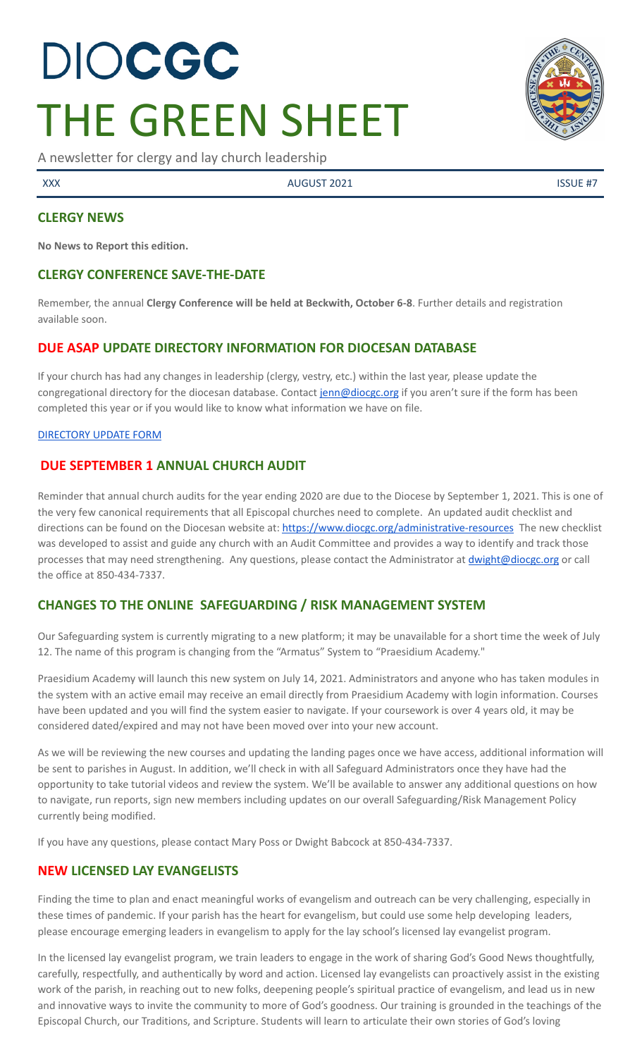# DIOCGC THE GREEN SHEET

A newsletter for clergy and lay church leadership

XXX AUGUST 2021 AUGUST 2021

# **CLERGY NEWS**

**No News to Report this edition.**

# **CLERGY CONFERENCE SAVE-THE-DATE**

Remember, the annual **Clergy Conference will be held at Beckwith, October 6-8**. Further details and registration available soon.

# **DUE ASAP UPDATE DIRECTORY INFORMATION FOR DIOCESAN DATABASE**

If your church has had any changes in leadership (clergy, vestry, etc.) within the last year, please update the congregational directory for the diocesan database. Contact [jenn@diocgc.org](mailto:jenn@diocgc.org) if you aren't sure if the form has been completed this year or if you would like to know what information we have on file.

#### [DIRECTORY](https://www.emailmeform.com/builder/form/eji270wUd6T49) UPDATE FORM

# **DUE SEPTEMBER 1 ANNUAL CHURCH AUDIT**

Reminder that annual church audits for the year ending 2020 are due to the Diocese by September 1, 2021. This is one of the very few canonical requirements that all Episcopal churches need to complete. An updated audit checklist and directions can be found on the Diocesan website at: <https://www.diocgc.org/administrative-resources> The new checklist was developed to assist and guide any church with an Audit Committee and provides a way to identify and track those processes that may need strengthening. Any questions, please contact the Administrator at *[dwight@diocgc.org](mailto:dwight@diocgc.org)* or call the office at 850-434-7337.

# **CHANGES TO THE ONLINE SAFEGUARDING / RISK MANAGEMENT SYSTEM**

Our Safeguarding system is currently migrating to a new platform; it may be unavailable for a short time the week of July 12. The name of this program is changing from the "Armatus" System to "Praesidium Academy."

Praesidium Academy will launch this new system on July 14, 2021. Administrators and anyone who has taken modules in the system with an active email may receive an email directly from Praesidium Academy with login information. Courses have been updated and you will find the system easier to navigate. If your coursework is over 4 years old, it may be considered dated/expired and may not have been moved over into your new account.

As we will be reviewing the new courses and updating the landing pages once we have access, additional information will be sent to parishes in August. In addition, we'll check in with all Safeguard Administrators once they have had the opportunity to take tutorial videos and review the system. We'll be available to answer any additional questions on how to navigate, run reports, sign new members including updates on our overall Safeguarding/Risk Management Policy currently being modified.

If you have any questions, please contact Mary Poss or Dwight Babcock at 850-434-7337.

# **NEW LICENSED LAY EVANGELISTS**

Finding the time to plan and enact meaningful works of evangelism and outreach can be very challenging, especially in these times of pandemic. If your parish has the heart for evangelism, but could use some help developing leaders, please encourage emerging leaders in evangelism to apply for the lay school's licensed lay evangelist program.

In the licensed lay evangelist program, we train leaders to engage in the work of sharing God's Good News thoughtfully, carefully, respectfully, and authentically by word and action. Licensed lay evangelists can proactively assist in the existing work of the parish, in reaching out to new folks, deepening people's spiritual practice of evangelism, and lead us in new and innovative ways to invite the community to more of God's goodness. Our training is grounded in the teachings of the Episcopal Church, our Traditions, and Scripture. Students will learn to articulate their own stories of God's loving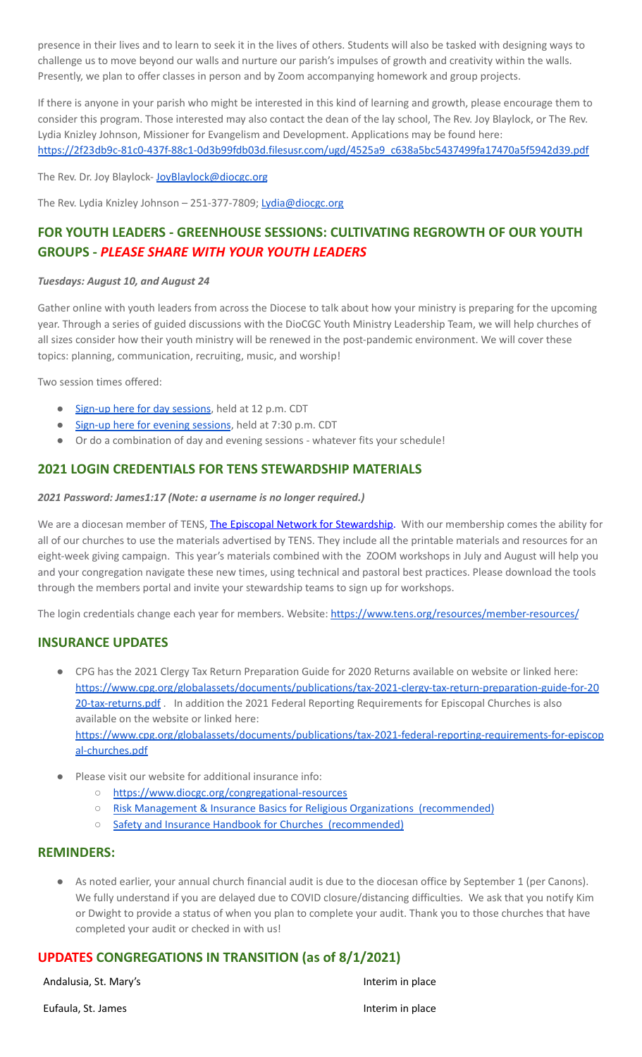presence in their lives and to learn to seek it in the lives of others. Students will also be tasked with designing ways to challenge us to move beyond our walls and nurture our parish's impulses of growth and creativity within the walls. Presently, we plan to offer classes in person and by Zoom accompanying homework and group projects.

If there is anyone in your parish who might be interested in this kind of learning and growth, please encourage them to consider this program. Those interested may also contact the dean of the lay school, The Rev. Joy Blaylock, or The Rev. Lydia Knizley Johnson, Missioner for Evangelism and Development. Applications may be found here: [https://2f23db9c-81c0-437f-88c1-0d3b99fdb03d.filesusr.com/ugd/4525a9\\_c638a5bc5437499fa17470a5f5942d39.pdf](https://2f23db9c-81c0-437f-88c1-0d3b99fdb03d.filesusr.com/ugd/4525a9_c638a5bc5437499fa17470a5f5942d39.pdf)

The Rev. Dr. Joy Blaylock- Joy Blaylock@diocgc.org

The Rev. Lydia Knizley Johnson - 251-377-7809; [Lydia@diocgc.org](mailto:Lydia@diocgc.org)

# **FOR YOUTH LEADERS - GREENHOUSE SESSIONS: CULTIVATING REGROWTH OF OUR YOUTH GROUPS -** *PLEASE SHARE WITH YOUR YOUTH LEADERS*

#### *Tuesdays: August 10, and August 24*

Gather online with youth leaders from across the Diocese to talk about how your ministry is preparing for the upcoming year. Through a series of guided discussions with the DioCGC Youth Ministry Leadership Team, we will help churches of all sizes consider how their youth ministry will be renewed in the post-pandemic environment. We will cover these topics: planning, communication, recruiting, music, and worship!

Two session times offered:

- Sign-up here for day [sessions](https://us02web.zoom.us/meeting/register/tZMsduiuqjIqHdXCKVTUHhq_Dszwpi5TKEjG), held at 12 p.m. CDT
- Sign-up here for evening [sessions](https://us02web.zoom.us/meeting/register/tZcqdOivpzwsGNKKON5NlRCJeFpgx3HnNqIF), held at 7:30 p.m. CDT
- Or do a combination of day and evening sessions whatever fits your schedule!

# **2021 LOGIN CREDENTIALS FOR TENS STEWARDSHIP MATERIALS**

#### *2021 Password: James1:17 (Note: a username is no longer required.)*

We are a diocesan member of TENS, The Episcopal Network for [Stewardship.](http://r20.rs6.net/tn.jsp?f=0012pqt_t4bfTKnRF8Xmufb-M4Ry8JkNpVzuf-DfMr466n2fJlrEabEgWXavWDn2Hx3i5ph5cMsQu0KkvBM2IIao7IcazXgBLtGdZrXLuo4poO7i2eq_EiuExGDSC-wd1a3AjKcDRDPj18=&c=9_JBIUfw9Y9WIzA02dVBmW_Dc5eF3SbOEA5-vLB-MbLj0nQWfaMvNg==&ch=bNQQUmRhILUjCbu1RkHCQ0rqqsD1-RBYprcIQ3NuhLlaKPcsXS1TyQ==) With our membership comes the ability for all of our churches to use the materials advertised by TENS. They include all the printable materials and resources for an eight-week giving campaign. This year's materials combined with the ZOOM workshops in July and August will help you and your congregation navigate these new times, using technical and pastoral best practices. Please download the tools through the members portal and invite your stewardship teams to sign up for workshops.

The login credentials change each year for members. Website: <https://www.tens.org/resources/member-resources/>

# **INSURANCE UPDATES**

- CPG has the 2021 Clergy Tax Return Preparation Guide for 2020 Returns available on website or linked here: [https://www.cpg.org/globalassets/documents/publications/tax-2021-clergy-tax-return-preparation-guide-for-20](https://www.cpg.org/globalassets/documents/publications/tax-2021-clergy-tax-return-preparation-guide-for-2020-tax-returns.pdf) [20-tax-returns.pdf](https://www.cpg.org/globalassets/documents/publications/tax-2021-clergy-tax-return-preparation-guide-for-2020-tax-returns.pdf) . In addition the 2021 Federal Reporting Requirements for Episcopal Churches is also available on the website or linked here: [https://www.cpg.org/globalassets/documents/publications/tax-2021-federal-reporting-requirements-for-episcop](https://www.cpg.org/globalassets/documents/publications/tax-2021-federal-reporting-requirements-for-episcopal-churches.pdf) [al-churches.pdf](https://www.cpg.org/globalassets/documents/publications/tax-2021-federal-reporting-requirements-for-episcopal-churches.pdf)
- Please visit our website for additional insurance info:
	- <https://www.diocgc.org/congregational-resources>
	- Risk Management & Insurance Basics for Religious Organizations [\(recommended\)](https://2f23db9c-81c0-437f-88c1-0d3b99fdb03d.filesusr.com/ugd/ca270f_0fc945a39bad470191c4075c97602c08.pdf)
	- Safety and Insurance Handbook for Churches [\(recommended\)](https://2f23db9c-81c0-437f-88c1-0d3b99fdb03d.filesusr.com/ugd/4525a9_6b89020a60b040f49e2f7feb44b56873.pdf)

#### **REMINDERS:**

As noted earlier, your annual church financial audit is due to the diocesan office by September 1 (per Canons). We fully understand if you are delayed due to COVID closure/distancing difficulties. We ask that you notify Kim or Dwight to provide a status of when you plan to complete your audit. Thank you to those churches that have completed your audit or checked in with us!

# **UPDATES CONGREGATIONS IN TRANSITION (as of 8/1/2021)**

Andalusia, St. Mary's **Interim in place** Interim in place

Eufaula, St. James **Interim in place**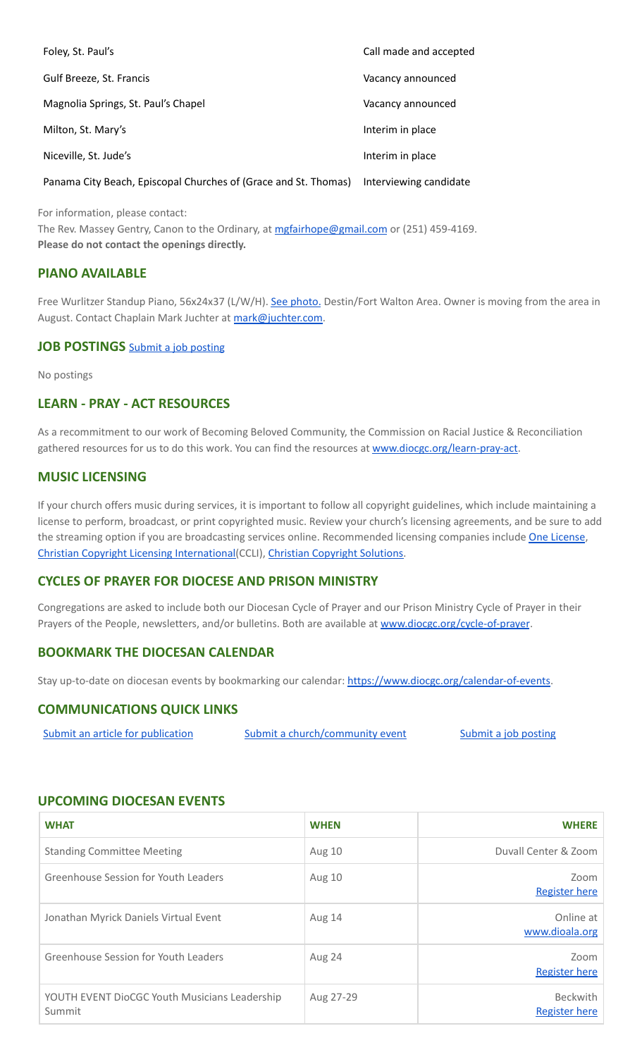| Foley, St. Paul's                   | Call made and accepted |
|-------------------------------------|------------------------|
| Gulf Breeze, St. Francis            | Vacancy announced      |
| Magnolia Springs, St. Paul's Chapel | Vacancy announced      |
| Milton, St. Mary's                  | Interim in place       |
| Niceville, St. Jude's               | Interim in place       |
|                                     |                        |

Panama City Beach, Episcopal Churches of (Grace and St. Thomas) Interviewing candidate

For information, please contact:

The Rev. Massey Gentry, Canon to the Ordinary, at [mgfairhope@gmail.com](mailto:mgfairhope@gmail.com) or (251) 459-4169. **Please do not contact the openings directly.**

### **PIANO AVAILABLE**

Free Wurlitzer Standup Piano, 56x24x37 (L/W/H). See [photo.](https://drive.google.com/file/d/1YUZOh-QyJGuxpz9CgWe-sKntRWtjqfBe/view?usp=sharing) Destin/Fort Walton Area. Owner is moving from the area in August. Contact Chaplain Mark Juchter at [mark@juchter.com.](mailto:mark@juchter.com)

#### **JOB POSTINGS** Submit a job [posting](https://www.emailmeform.com/builder/form/0cZqC653GdH24p01aWQDfUh)

No postings

#### **LEARN - PRAY - ACT RESOURCES**

As a recommitment to our work of Becoming Beloved Community, the Commission on Racial Justice & Reconciliation gathered resources for us to do this work. You can find the resources at [www.diocgc.org/learn-pray-act.](http://www.diocgcorg/learn-pray-act)

#### **MUSIC LICENSING**

If your church offers music during services, it is important to follow all copyright guidelines, which include maintaining a license to perform, broadcast, or print copyrighted music. Review your church's licensing agreements, and be sure to add the streaming option if you are broadcasting services online. Recommended licensing companies include One [License](https://onelicense.net/), Christian Copyright Licensing [International\(](https://us.ccli.com/)CCLI), Christian [Copyright](https://christiancopyrightsolutions.com/) Solutions.

#### **CYCLES OF PRAYER FOR DIOCESE AND PRISON MINISTRY**

Congregations are asked to include both our Diocesan Cycle of Prayer and our Prison Ministry Cycle of Prayer in their Prayers of the People, newsletters, and/or bulletins. Both are available at [www.diocgc.org/cycle-of-prayer](http://www.diocgc.org/cycle-of-prayer).

# **BOOKMARK THE DIOCESAN CALENDAR**

Stay up-to-date on diocesan events by bookmarking our calendar: [https://www.diocgc.org/calendar-of-events.](https://www.diocgc.org/calendar-of-events)

### **COMMUNICATIONS QUICK LINKS**

| Submit an article for publication | Submit a church/community event | Submit a job posting |
|-----------------------------------|---------------------------------|----------------------|
|-----------------------------------|---------------------------------|----------------------|

#### **UPCOMING DIOCESAN EVENTS**

| <b>WHAT</b>                                             | <b>WHEN</b>   | <b>WHERE</b>                     |
|---------------------------------------------------------|---------------|----------------------------------|
| <b>Standing Committee Meeting</b>                       | Aug 10        | Duvall Center & Zoom             |
| Greenhouse Session for Youth Leaders                    | <b>Aug 10</b> | Zoom<br><b>Register here</b>     |
| Jonathan Myrick Daniels Virtual Event                   | Aug 14        | Online at<br>www.dioala.org      |
| Greenhouse Session for Youth Leaders                    | Aug 24        | Zoom<br><b>Register here</b>     |
| YOUTH EVENT DioCGC Youth Musicians Leadership<br>Summit | Aug 27-29     | <b>Beckwith</b><br>Register here |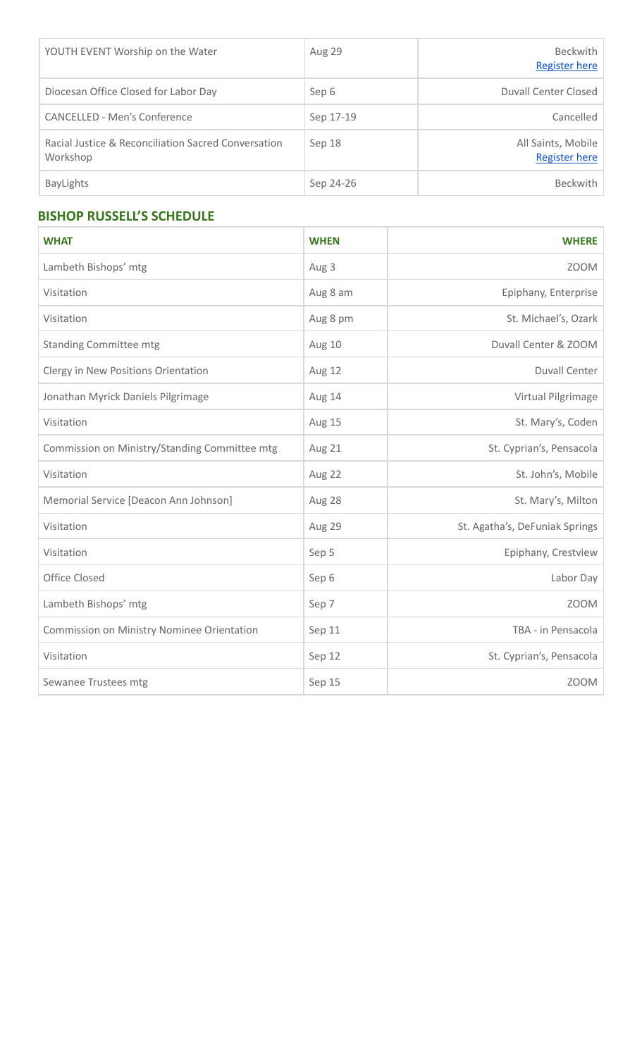| YOUTH EVENT Worship on the Water                                | Aug 29    | <b>Beckwith</b><br><b>Register here</b>    |
|-----------------------------------------------------------------|-----------|--------------------------------------------|
| Diocesan Office Closed for Labor Day                            | Sep 6     | Duvall Center Closed                       |
| CANCELLED - Men's Conference                                    | Sep 17-19 | Cancelled                                  |
| Racial Justice & Reconciliation Sacred Conversation<br>Workshop | Sep 18    | All Saints, Mobile<br><b>Register here</b> |
| <b>BayLights</b>                                                | Sep 24-26 | <b>Beckwith</b>                            |

# **BISHOP RUSSELL'S SCHEDULE**

| <b>WHAT</b>                                   | <b>WHEN</b> | <b>WHERE</b>                   |
|-----------------------------------------------|-------------|--------------------------------|
| Lambeth Bishops' mtg                          | Aug 3       | <b>ZOOM</b>                    |
| Visitation                                    | Aug 8 am    | Epiphany, Enterprise           |
| Visitation                                    | Aug 8 pm    | St. Michael's, Ozark           |
| <b>Standing Committee mtg</b>                 | Aug 10      | Duvall Center & ZOOM           |
| Clergy in New Positions Orientation           | Aug 12      | <b>Duvall Center</b>           |
| Jonathan Myrick Daniels Pilgrimage            | Aug 14      | Virtual Pilgrimage             |
| Visitation                                    | Aug 15      | St. Mary's, Coden              |
| Commission on Ministry/Standing Committee mtg | Aug 21      | St. Cyprian's, Pensacola       |
| Visitation                                    | Aug 22      | St. John's, Mobile             |
| Memorial Service [Deacon Ann Johnson]         | Aug 28      | St. Mary's, Milton             |
| Visitation                                    | Aug 29      | St. Agatha's, DeFuniak Springs |
| Visitation                                    | Sep 5       | Epiphany, Crestview            |
| Office Closed                                 | Sep 6       | Labor Day                      |
| Lambeth Bishops' mtg                          | Sep 7       | <b>ZOOM</b>                    |
| Commission on Ministry Nominee Orientation    | Sep 11      | TBA - in Pensacola             |
| Visitation                                    | Sep 12      | St. Cyprian's, Pensacola       |
| Sewanee Trustees mtg                          | Sep 15      | <b>ZOOM</b>                    |